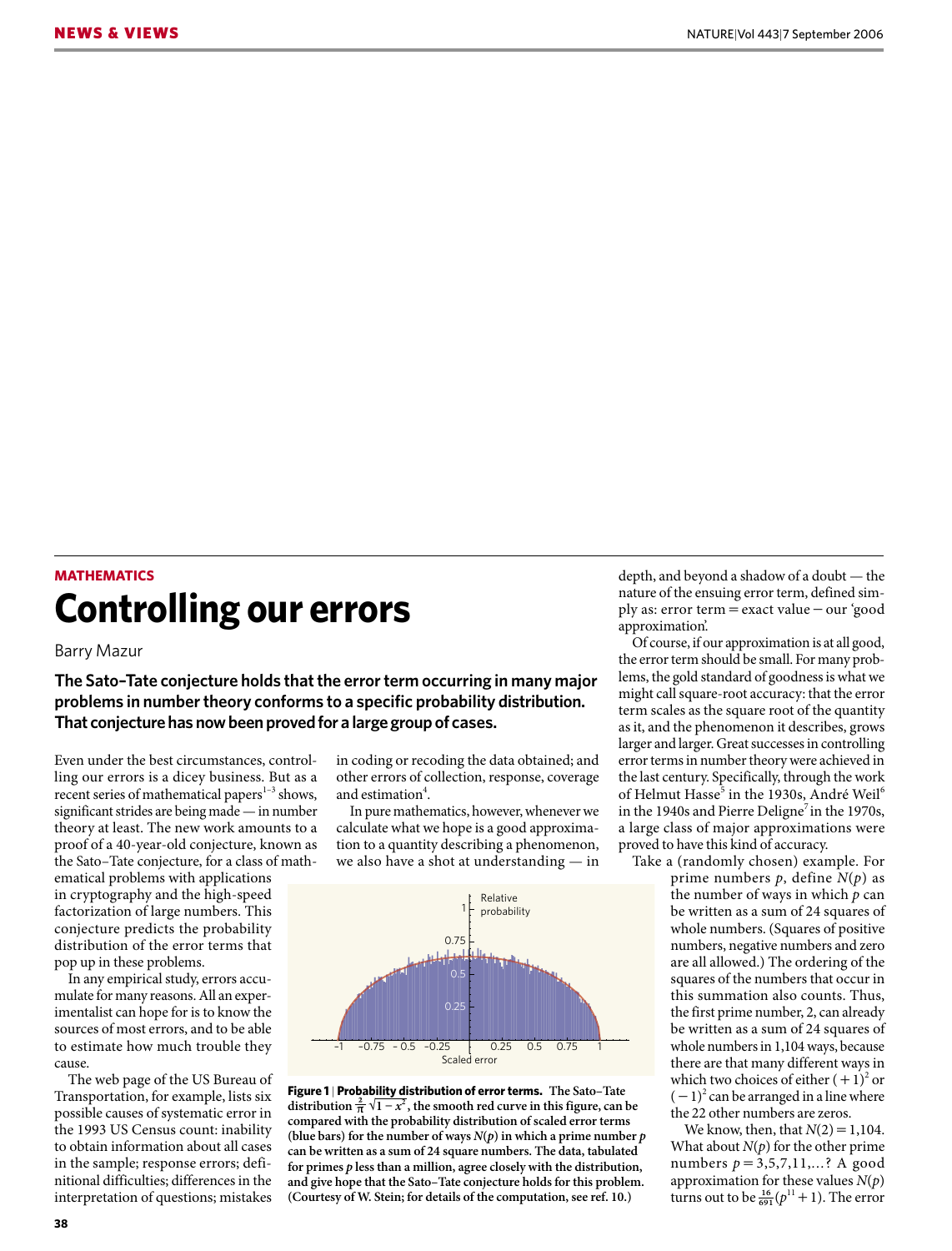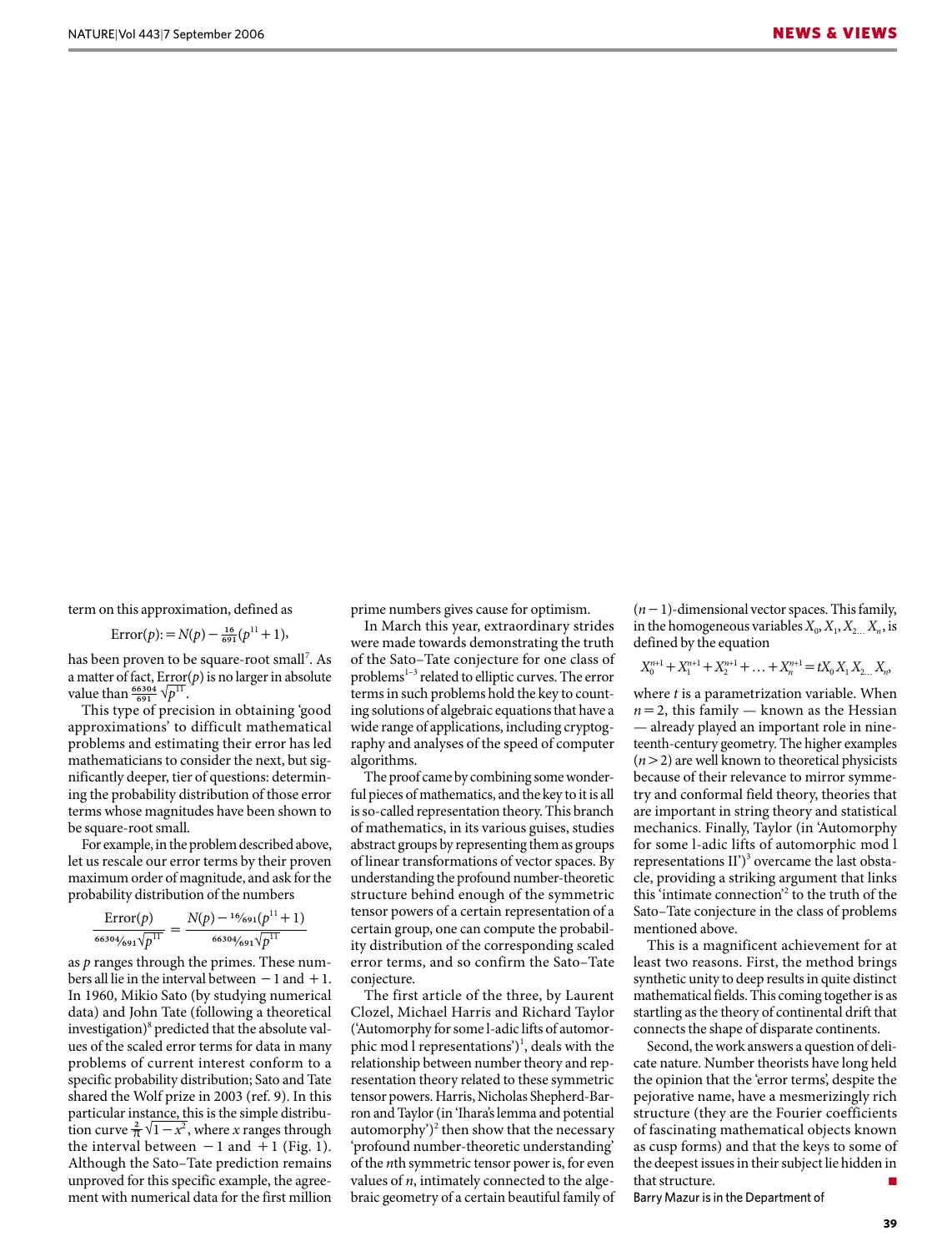term on this approximation, defined as

$$
\text{Error}(p) = N(p) - \frac{16}{691}(p^{11} + 1),
$$

has been proven to be square-root small<sup>7</sup>. As a matter of fact,  $Error(p)$  is no larger in absolute value than  $\frac{66304}{691}$   $\sqrt{p^{11}}$ .

This type of precision in obtaining 'good approximations' to difficult mathematical problems and estimating their error has led mathematicians to consider the next, but significantly deeper, tier of questions: determining the probability distribution of those error terms whose magnitudes have been shown to be square-root small.

For example, in the problem described above, let us rescale our error terms by their proven maximum order of magnitude, and ask for the probability distribution of the numbers

$$
\frac{\text{Error}(p)}{66304/691\sqrt{p^{11}}} = \frac{N(p) - \frac{16}{691}(p^{11} + 1)}{66304/691\sqrt{p^{11}}}
$$

as *p* ranges through the primes. These numbers all lie in the interval between  $-1$  and  $+1$ . In 1960, Mikio Sato (by studying numerical data) and John Tate (following a theoretical investigation) $\delta$  predicted that the absolute values of the scaled error terms for data in many problems of current interest conform to a specific probability distribution; Sato and Tate shared the Wolf prize in 2003 (ref. 9). In this particular instance, this is the simple distribution curve  $\frac{2}{\pi} \sqrt{1-x^2}$ , where *x* ranges through the interval between  $-1$  and  $+1$  (Fig. 1). Although the Sato–Tate prediction remains unproved for this specific example, the agreement with numerical data for the first million

prime numbers gives cause for optimism.

In March this year, extraordinary strides were made towards demonstrating the truth of the Sato–Tate conjecture for one class of problems<sup>1-3</sup> related to elliptic curves. The error terms in such problems hold the key to counting solutions of algebraic equationsthat have a wide range of applications, including cryptography and analyses of the speed of computer algorithms.

The proof came by combining some wonderful pieces of mathematics, and the key to it is all is so-called representation theory. This branch of mathematics, in its various guises, studies abstract groups by representing them as groups of linear transformations of vector spaces. By understanding the profound number-theoretic structure behind enough of the symmetric tensor powers of a certain representation of a certain group, one can compute the probability distribution of the corresponding scaled error terms, and so confirm the Sato–Tate conjecture.

The first article of the three, by Laurent Clozel, Michael Harris and Richard Taylor ('Automorphy for some l-adic lifts of automorphic mod l representations')<sup>1</sup>, deals with the relationship between number theory and representation theory related to these symmetric tensor powers. Harris, Nicholas Shepherd-Barron and Taylor (in 'Ihara's lemma and potential automorphy')<sup>2</sup> then show that the necessary 'profound number-theoretic understanding' of the *n*th symmetric tensor power is, for even values of *n*, intimately connected to the algebraic geometry of a certain beautiful family of

 $(n-1)$ -dimensional vector spaces. This family, in the homogeneous variables  $X_0, X_1, X_2, X_n$ , is defined by the equation

$$
X_0^{n+1} + X_1^{n+1} + X_2^{n+1} + \ldots + X_n^{n+1} = tX_0 X_1 X_2 \ldots X_n
$$

where *t* is a parametrization variable. When  $n=2$ , this family — known as the Hessian — already played an important role in nineteenth-century geometry. The higher examples  $(n>2)$  are well known to theoretical physicists because of their relevance to mirror symmetry and conformal field theory, theories that are important in string theory and statistical mechanics. Finally, Taylor (in 'Automorphy for some l-adic lifts of automorphic mod l representations  $II$ <sup>3</sup> overcame the last obstacle, providing a striking argument that links this 'intimate connection'<sup>2</sup> to the truth of the Sato–Tate conjecture in the class of problems mentioned above.

This is a magnificent achievement for at least two reasons. First, the method brings synthetic unity to deep results in quite distinct mathematical fields. This coming together is as startling as the theory of continental drift that connects the shape of disparate continents.

Second, the work answers a question of delicate nature. Number theorists have long held the opinion that the 'error terms', despite the pejorative name, have a mesmerizingly rich structure (they are the Fourier coefficients of fascinating mathematical objects known as cusp forms) and that the keys to some of the deepest issues in their subject lie hidden in that structure.

Barry Mazur is in the Department of